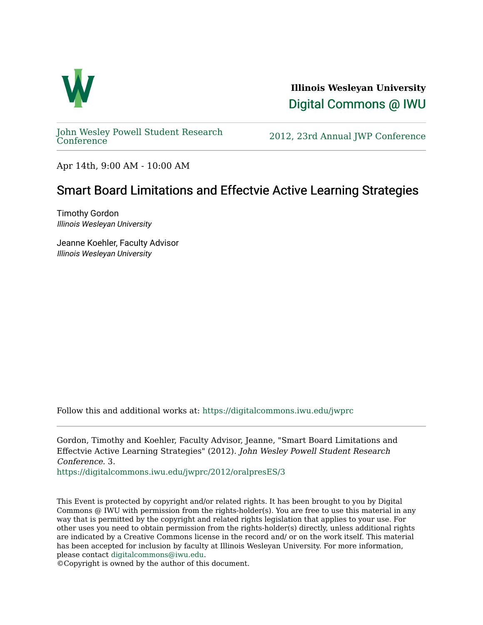

**Illinois Wesleyan University**  [Digital Commons @ IWU](https://digitalcommons.iwu.edu/) 

[John Wesley Powell Student Research](https://digitalcommons.iwu.edu/jwprc) 

2012, 23rd Annual JWP [Conference](https://digitalcommons.iwu.edu/jwprc)

Apr 14th, 9:00 AM - 10:00 AM

## Smart Board Limitations and Effectvie Active Learning Strategies

Timothy Gordon Illinois Wesleyan University

Jeanne Koehler, Faculty Advisor Illinois Wesleyan University

Follow this and additional works at: [https://digitalcommons.iwu.edu/jwprc](https://digitalcommons.iwu.edu/jwprc?utm_source=digitalcommons.iwu.edu%2Fjwprc%2F2012%2ForalpresES%2F3&utm_medium=PDF&utm_campaign=PDFCoverPages) 

Gordon, Timothy and Koehler, Faculty Advisor, Jeanne, "Smart Board Limitations and Effectvie Active Learning Strategies" (2012). John Wesley Powell Student Research Conference. 3.

[https://digitalcommons.iwu.edu/jwprc/2012/oralpresES/3](https://digitalcommons.iwu.edu/jwprc/2012/oralpresES/3?utm_source=digitalcommons.iwu.edu%2Fjwprc%2F2012%2ForalpresES%2F3&utm_medium=PDF&utm_campaign=PDFCoverPages) 

This Event is protected by copyright and/or related rights. It has been brought to you by Digital Commons @ IWU with permission from the rights-holder(s). You are free to use this material in any way that is permitted by the copyright and related rights legislation that applies to your use. For other uses you need to obtain permission from the rights-holder(s) directly, unless additional rights are indicated by a Creative Commons license in the record and/ or on the work itself. This material has been accepted for inclusion by faculty at Illinois Wesleyan University. For more information, please contact [digitalcommons@iwu.edu.](mailto:digitalcommons@iwu.edu)

©Copyright is owned by the author of this document.